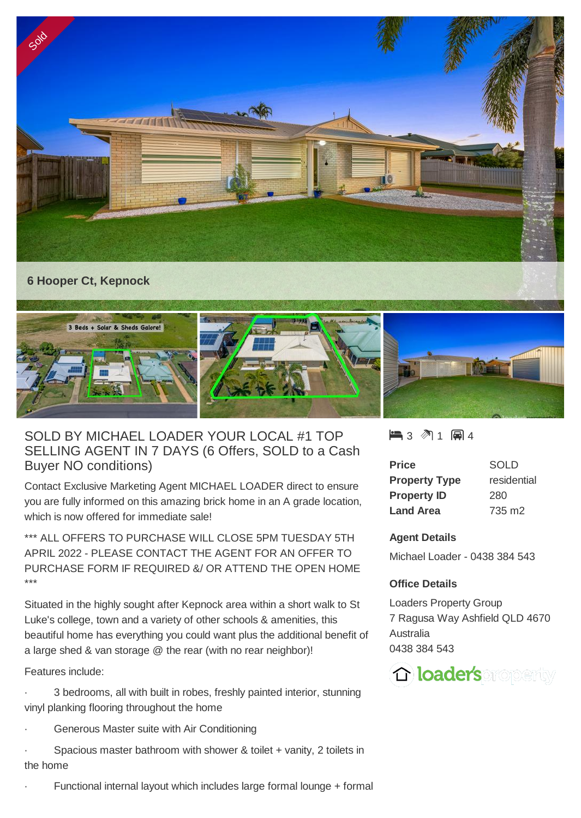



## SOLD BY MICHAEL LOADER YOUR LOCAL #1 TOP SELLING AGENT IN 7 DAYS (6 Offers, SOLD to a Cash Buyer NO conditions)

Contact Exclusive Marketing Agent MICHAEL LOADER direct to ensure you are fully informed on this amazing brick home in an A grade location, which is now offered for immediate sale!

\*\*\* ALL OFFERS TO PURCHASE WILL CLOSE 5PM TUESDAY 5TH APRIL 2022 - PLEASE CONTACT THE AGENT FOR AN OFFER TO PURCHASE FORM IF REQUIRED &/ OR ATTEND THE OPEN HOME \*\*\*

Situated in the highly sought after Kepnock area within a short walk to St Luke's college, town and a variety of other schools & amenities, this beautiful home has everything you could want plus the additional benefit of a large shed & van storage @ the rear (with no rear neighbor)!

Features include:

3 bedrooms, all with built in robes, freshly painted interior, stunning vinyl planking flooring throughout the home

Generous Master suite with Air Conditioning

Spacious master bathroom with shower & toilet + vanity, 2 toilets in the home

Functional internal layout which includes large formal lounge + formal

 $\blacksquare$  3  $\spadesuit$  1  $\blacksquare$  4

| Price                | SOLD        |
|----------------------|-------------|
| <b>Property Type</b> | residential |
| <b>Property ID</b>   | 280         |
| <b>Land Area</b>     | 735 m2      |

## **Agent Details**

Michael Loader - 0438 384 543

## **Office Details**

Loaders Property Group 7 Ragusa Way Ashfield QLD 4670 Australia 0438 384 543

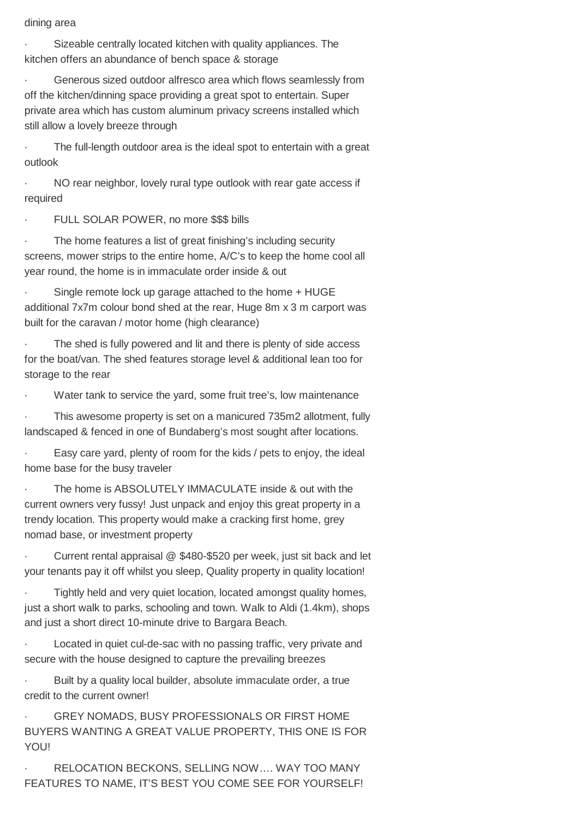dining area

Sizeable centrally located kitchen with quality appliances. The kitchen offers an abundance of bench space & storage

Generous sized outdoor alfresco area which flows seamlessly from off the kitchen/dinning space providing a great spot to entertain. Super private area which has custom aluminum privacy screens installed which still allow a lovely breeze through

The full-length outdoor area is the ideal spot to entertain with a great outlook

NO rear neighbor, lovely rural type outlook with rear gate access if required

FULL SOLAR POWER, no more \$\$\$ bills

The home features a list of great finishing's including security screens, mower strips to the entire home, A/C's to keep the home cool all year round, the home is in immaculate order inside & out

Single remote lock up garage attached to the home + HUGE additional 7x7m colour bond shed at the rear, Huge 8m x 3 m carport was built for the caravan / motor home (high clearance)

The shed is fully powered and lit and there is plenty of side access for the boat/van. The shed features storage level & additional lean too for storage to the rear

Water tank to service the yard, some fruit tree's, low maintenance

This awesome property is set on a manicured 735m2 allotment, fully landscaped & fenced in one of Bundaberg's most sought after locations.

Easy care yard, plenty of room for the kids / pets to enjoy, the ideal home base for the busy traveler

The home is ABSOLUTELY IMMACULATE inside & out with the current owners very fussy! Just unpack and enjoy this great property in a trendy location. This property would make a cracking first home, grey nomad base, or investment property

Current rental appraisal  $@$  \$480-\$520 per week, just sit back and let your tenants pay it off whilst you sleep, Quality property in quality location!

Tightly held and very quiet location, located amongst quality homes, just a short walk to parks, schooling and town. Walk to Aldi (1.4km), shops and just a short direct 10-minute drive to Bargara Beach.

· Located in quiet cul-de-sac with no passing traffic, very private and secure with the house designed to capture the prevailing breezes

Built by a quality local builder, absolute immaculate order, a true credit to the current owner!

**GREY NOMADS, BUSY PROFESSIONALS OR FIRST HOME** BUYERS WANTING A GREAT VALUE PROPERTY, THIS ONE IS FOR YOU!

RELOCATION BECKONS, SELLING NOW.... WAY TOO MANY FEATURES TO NAME, IT'S BEST YOU COME SEE FOR YOURSELF!